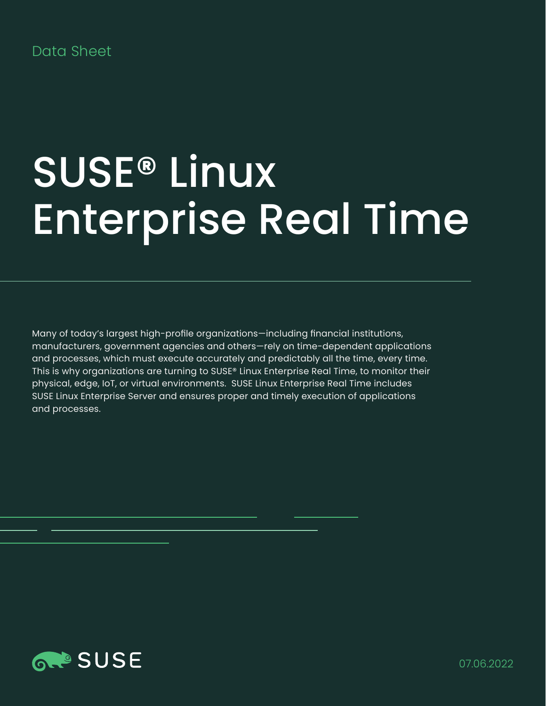# Data Sheet

# SUSE® Linux Enterprise Real Time

Many of today's largest high-profile organizations—including financial institutions, manufacturers, government agencies and others—rely on time-dependent applications and processes, which must execute accurately and predictably all the time, every time. This is why organizations are turning to SUSE® Linux Enterprise Real Time, to monitor their physical, edge, IoT, or virtual environments. SUSE Linux Enterprise Real Time includes SUSE Linux Enterprise Server and ensures proper and timely execution of applications and processes.

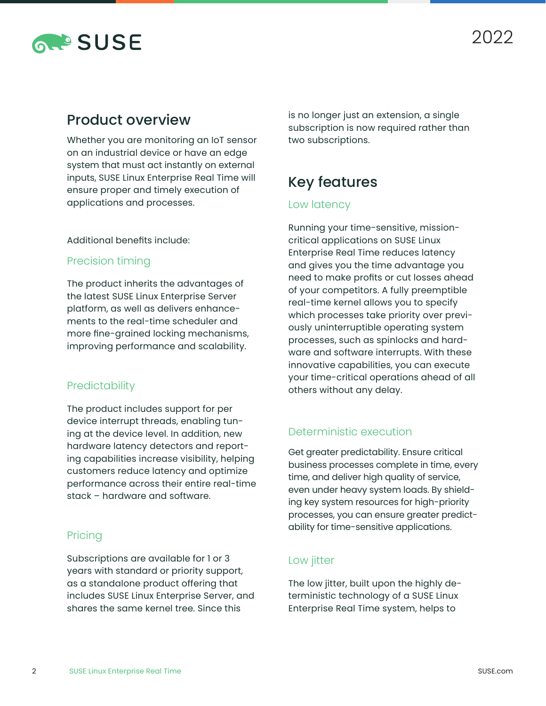

# Product overview

Whether you are monitoring an IoT sensor on an industrial device or have an edge system that must act instantly on external inputs, SUSE Linux Enterprise Real Time will ensure proper and timely execution of applications and processes.

#### Additional benefits include:

#### Precision timing

The product inherits the advantages of the latest SUSE Linux Enterprise Server platform, as well as delivers enhancements to the real-time scheduler and more fine-grained locking mechanisms, improving performance and scalability.

#### **Predictability**

The product includes support for per device interrupt threads, enabling tuning at the device level. In addition, new hardware latency detectors and reporting capabilities increase visibility, helping customers reduce latency and optimize performance across their entire real-time stack – hardware and software.

#### **Pricing**

Subscriptions are available for 1 or 3 years with standard or priority support, as a standalone product offering that includes SUSE Linux Enterprise Server, and shares the same kernel tree. Since this

is no longer just an extension, a single subscription is now required rather than two subscriptions.

# Key features

#### Low latency

Running your time-sensitive, missioncritical applications on SUSE Linux Enterprise Real Time reduces latency and gives you the time advantage you need to make profits or cut losses ahead of your competitors. A fully preemptible real-time kernel allows you to specify which processes take priority over previously uninterruptible operating system processes, such as spinlocks and hardware and software interrupts. With these innovative capabilities, you can execute your time-critical operations ahead of all others without any delay.

### Deterministic execution

Get greater predictability. Ensure critical business processes complete in time, every time, and deliver high quality of service, even under heavy system loads. By shielding key system resources for high-priority processes, you can ensure greater predictability for time-sensitive applications.

#### Low jitter

The low jitter, built upon the highly deterministic technology of a SUSE Linux Enterprise Real Time system, helps to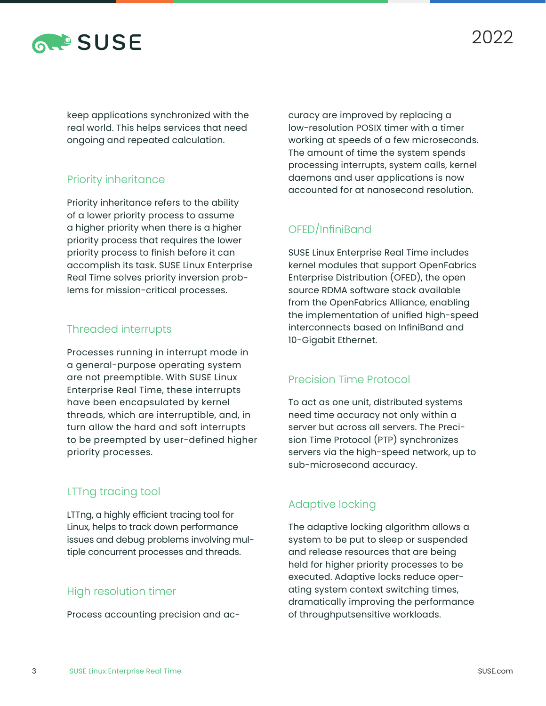

keep applications synchronized with the real world. This helps services that need ongoing and repeated calculation.

## Priority inheritance

Priority inheritance refers to the ability of a lower priority process to assume a higher priority when there is a higher priority process that requires the lower priority process to finish before it can accomplish its task. SUSE Linux Enterprise Real Time solves priority inversion problems for mission-critical processes.

#### Threaded interrupts

Processes running in interrupt mode in a general-purpose operating system are not preemptible. With SUSE Linux Enterprise Real Time, these interrupts have been encapsulated by kernel threads, which are interruptible, and, in turn allow the hard and soft interrupts to be preempted by user-defined higher priority processes.

#### LTTng tracing tool

LTTng, a highly efficient tracing tool for Linux, helps to track down performance issues and debug problems involving multiple concurrent processes and threads.

#### High resolution timer

Process accounting precision and ac-

curacy are improved by replacing a low-resolution POSIX timer with a timer working at speeds of a few microseconds. The amount of time the system spends processing interrupts, system calls, kernel daemons and user applications is now accounted for at nanosecond resolution.

## OFED/InfiniBand

SUSE Linux Enterprise Real Time includes kernel modules that support OpenFabrics Enterprise Distribution (OFED), the open source RDMA software stack available from the OpenFabrics Alliance, enabling the implementation of unified high-speed interconnects based on InfiniBand and 10-Gigabit Ethernet.

#### Precision Time Protocol

To act as one unit, distributed systems need time accuracy not only within a server but across all servers. The Precision Time Protocol (PTP) synchronizes servers via the high-speed network, up to sub-microsecond accuracy.

## Adaptive locking

The adaptive locking algorithm allows a system to be put to sleep or suspended and release resources that are being held for higher priority processes to be executed. Adaptive locks reduce operating system context switching times, dramatically improving the performance of throughputsensitive workloads.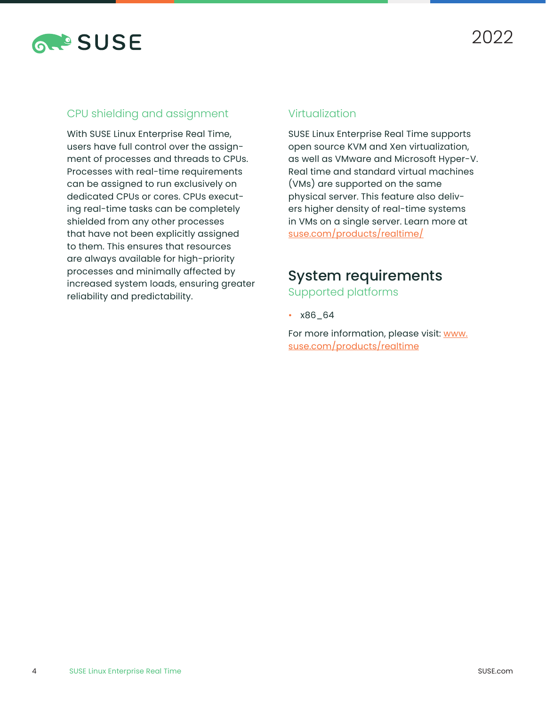

## CPU shielding and assignment

With SUSE Linux Enterprise Real Time, users have full control over the assignment of processes and threads to CPUs. Processes with real-time requirements can be assigned to run exclusively on dedicated CPUs or cores. CPUs executing real-time tasks can be completely shielded from any other processes that have not been explicitly assigned to them. This ensures that resources are always available for high-priority processes and minimally affected by increased system loads, ensuring greater reliability and predictability.

### Virtualization

SUSE Linux Enterprise Real Time supports open source KVM and Xen virtualization, as well as VMware and Microsoft Hyper-V. Real time and standard virtual machines (VMs) are supported on the same physical server. This feature also delivers higher density of real-time systems in VMs on a single server. Learn more at [suse.com/products/realtime/](http://suse.com/products/realtime/)

# System requirements

Supported platforms

• x86\_64

For more information, please visit: [www.](http://www.suse.com/products/realtime) [suse.com/products/realtime](http://www.suse.com/products/realtime)